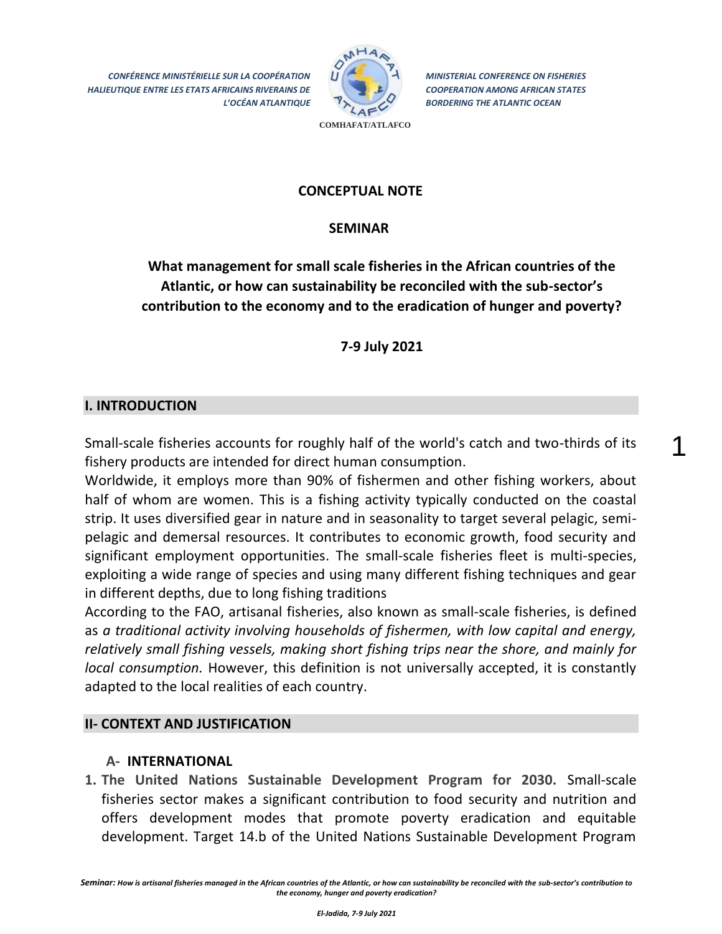*CONFÉRENCE MINISTÉRIELLE SUR LA COOPÉRATION HALIEUTIQUE ENTRE LES ETATS AFRICAINS RIVERAINS DE L'OCÉAN ATLANTIQUE*



*MINISTERIAL CONFERENCE ON FISHERIES COOPERATION AMONG AFRICAN STATES BORDERING THE ATLANTIC OCEAN*

1

**COMHAFAT/ATLAFCO**

### **CONCEPTUAL NOTE**

### **SEMINAR**

# **What management for small scale fisheries in the African countries of the Atlantic, or how can sustainability be reconciled with the sub-sector's contribution to the economy and to the eradication of hunger and poverty?**

**7-9 July 2021**

## **I. INTRODUCTION**

Small-scale fisheries accounts for roughly half of the world's catch and two-thirds of its fishery products are intended for direct human consumption.

Worldwide, it employs more than 90% of fishermen and other fishing workers, about half of whom are women. This is a fishing activity typically conducted on the coastal strip. It uses diversified gear in nature and in seasonality to target several pelagic, semipelagic and demersal resources. It contributes to economic growth, food security and significant employment opportunities. The small-scale fisheries fleet is multi-species, exploiting a wide range of species and using many different fishing techniques and gear in different depths, due to long fishing traditions

According to the FAO, artisanal fisheries, also known as small-scale fisheries, is defined as *a traditional activity involving households of fishermen, with low capital and energy, relatively small fishing vessels, making short fishing trips near the shore, and mainly for local consumption.* However, this definition is not universally accepted, it is constantly adapted to the local realities of each country.

#### **II- CONTEXT AND JUSTIFICATION**

#### **A- INTERNATIONAL**

**1. The United Nations Sustainable Development Program for 2030.** Small-scale fisheries sector makes a significant contribution to food security and nutrition and offers development modes that promote poverty eradication and equitable development. Target 14.b of the United Nations Sustainable Development Program

*Seminar: How is artisanal fisheries managed in the African countries of the Atlantic, or how can sustainability be reconciled with the sub-sector's contribution to the economy, hunger and poverty eradication?*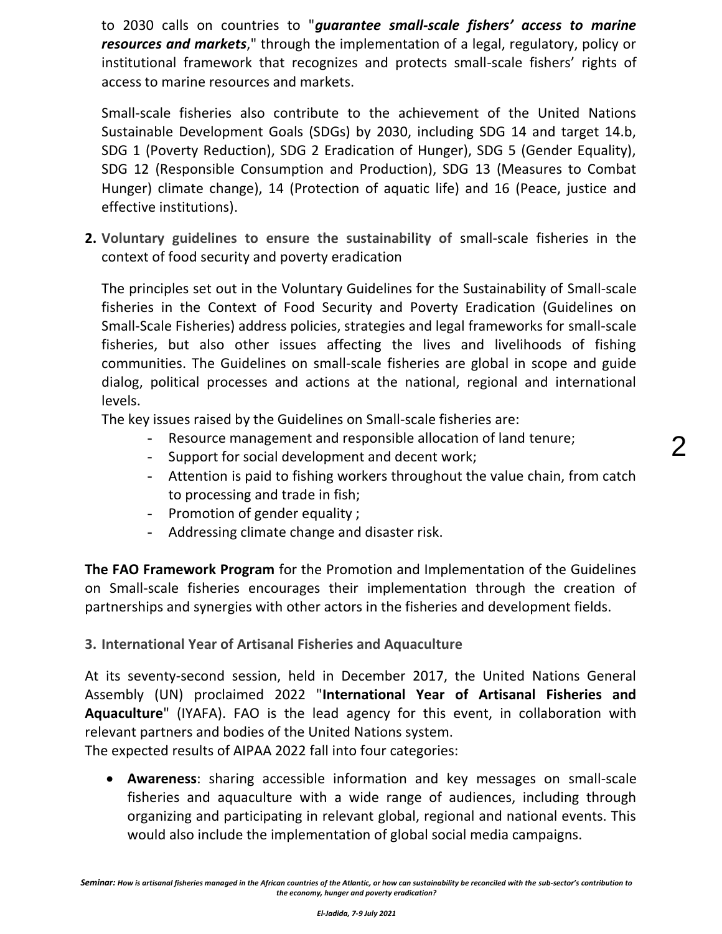to 2030 calls on countries to "*guarantee small-scale fishers' access to marine resources and markets*," through the implementation of a legal, regulatory, policy or institutional framework that recognizes and protects small-scale fishers' rights of access to marine resources and markets.

Small-scale fisheries also contribute to the achievement of the United Nations Sustainable Development Goals (SDGs) by 2030, including SDG 14 and target 14.b, SDG 1 (Poverty Reduction), SDG 2 Eradication of Hunger), SDG 5 (Gender Equality), SDG 12 (Responsible Consumption and Production), SDG 13 (Measures to Combat Hunger) climate change), 14 (Protection of aquatic life) and 16 (Peace, justice and effective institutions).

**2. Voluntary guidelines to ensure the sustainability of** small-scale fisheries in the context of food security and poverty eradication

The principles set out in the Voluntary Guidelines for the Sustainability of Small-scale fisheries in the Context of Food Security and Poverty Eradication (Guidelines on Small-Scale Fisheries) address policies, strategies and legal frameworks for small-scale fisheries, but also other issues affecting the lives and livelihoods of fishing communities. The Guidelines on small-scale fisheries are global in scope and guide dialog, political processes and actions at the national, regional and international levels.

The key issues raised by the Guidelines on Small-scale fisheries are:

- Resource management and responsible allocation of land tenure;
- Support for social development and decent work;
- Attention is paid to fishing workers throughout the value chain, from catch to processing and trade in fish;

2

- Promotion of gender equality ;
- Addressing climate change and disaster risk.

**The FAO Framework Program** for the Promotion and Implementation of the Guidelines on Small-scale fisheries encourages their implementation through the creation of partnerships and synergies with other actors in the fisheries and development fields.

**3. International Year of Artisanal Fisheries and Aquaculture** 

At its seventy-second session, held in December 2017, the United Nations General Assembly (UN) proclaimed 2022 "**International Year of Artisanal Fisheries and Aquaculture**" (IYAFA). FAO is the lead agency for this event, in collaboration with relevant partners and bodies of the United Nations system.

The expected results of AIPAA 2022 fall into four categories:

 **Awareness**: sharing accessible information and key messages on small-scale fisheries and aquaculture with a wide range of audiences, including through organizing and participating in relevant global, regional and national events. This would also include the implementation of global social media campaigns.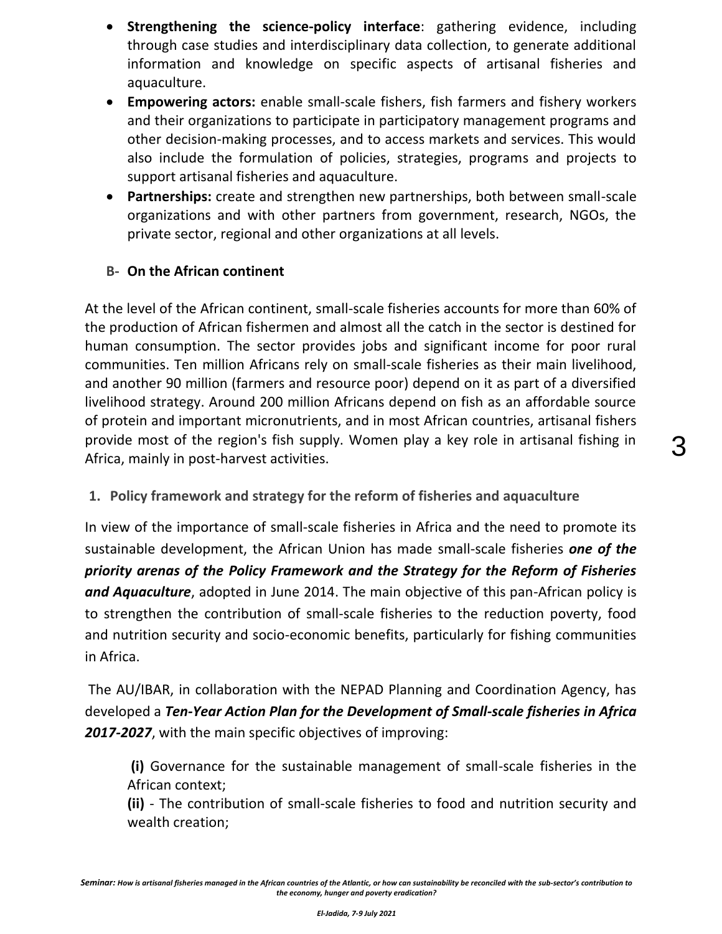- **Strengthening the science-policy interface**: gathering evidence, including through case studies and interdisciplinary data collection, to generate additional information and knowledge on specific aspects of artisanal fisheries and aquaculture.
- **Empowering actors:** enable small-scale fishers, fish farmers and fishery workers and their organizations to participate in participatory management programs and other decision-making processes, and to access markets and services. This would also include the formulation of policies, strategies, programs and projects to support artisanal fisheries and aquaculture.
- **Partnerships:** create and strengthen new partnerships, both between small-scale organizations and with other partners from government, research, NGOs, the private sector, regional and other organizations at all levels.

# **B- On the African continent**

At the level of the African continent, small-scale fisheries accounts for more than 60% of the production of African fishermen and almost all the catch in the sector is destined for human consumption. The sector provides jobs and significant income for poor rural communities. Ten million Africans rely on small-scale fisheries as their main livelihood, and another 90 million (farmers and resource poor) depend on it as part of a diversified livelihood strategy. Around 200 million Africans depend on fish as an affordable source of protein and important micronutrients, and in most African countries, artisanal fishers provide most of the region's fish supply. Women play a key role in artisanal fishing in Africa, mainly in post-harvest activities.

**1. Policy framework and strategy for the reform of fisheries and aquaculture**

In view of the importance of small-scale fisheries in Africa and the need to promote its sustainable development, the African Union has made small-scale fisheries *one of the priority arenas of the Policy Framework and the Strategy for the Reform of Fisheries and Aquaculture*, adopted in June 2014. The main objective of this pan-African policy is to strengthen the contribution of small-scale fisheries to the reduction poverty, food and nutrition security and socio-economic benefits, particularly for fishing communities in Africa.

The AU/IBAR, in collaboration with the NEPAD Planning and Coordination Agency, has developed a *Ten-Year Action Plan for the Development of Small-scale fisheries in Africa 2017-2027*, with the main specific objectives of improving:

**(i)** Governance for the sustainable management of small-scale fisheries in the African context;

**(ii)** - The contribution of small-scale fisheries to food and nutrition security and wealth creation;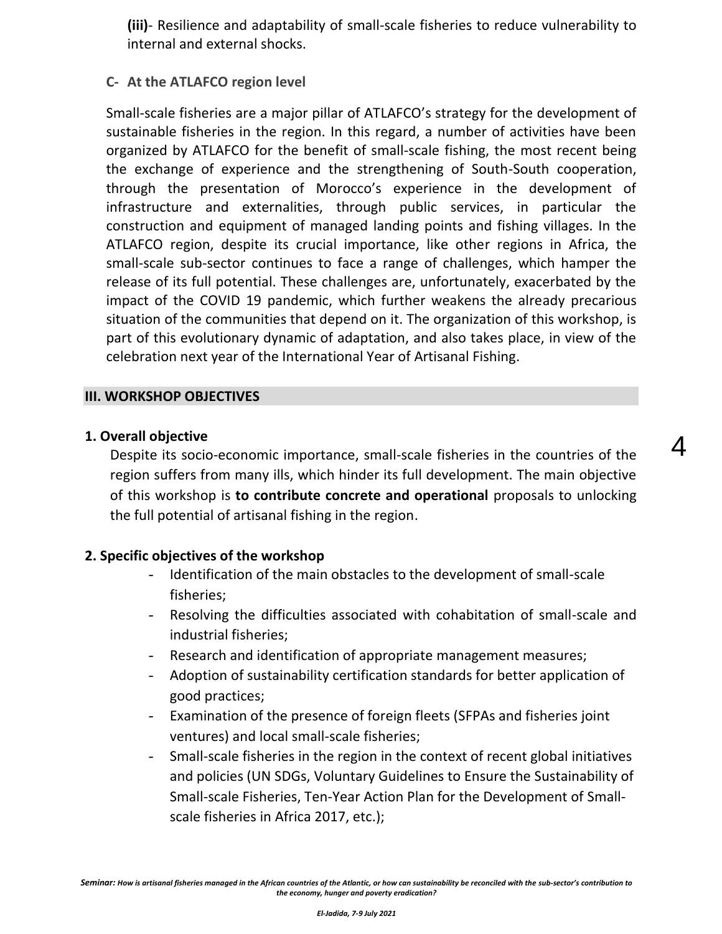**(iii)**- Resilience and adaptability of small-scale fisheries to reduce vulnerability to internal and external shocks.

# **C- At the ATLAFCO region level**

Small-scale fisheries are a major pillar of ATLAFCO's strategy for the development of sustainable fisheries in the region. In this regard, a number of activities have been organized by ATLAFCO for the benefit of small-scale fishing, the most recent being the exchange of experience and the strengthening of South-South cooperation, through the presentation of Morocco's experience in the development of infrastructure and externalities, through public services, in particular the construction and equipment of managed landing points and fishing villages. In the ATLAFCO region, despite its crucial importance, like other regions in Africa, the small-scale sub-sector continues to face a range of challenges, which hamper the release of its full potential. These challenges are, unfortunately, exacerbated by the impact of the COVID 19 pandemic, which further weakens the already precarious situation of the communities that depend on it. The organization of this workshop, is part of this evolutionary dynamic of adaptation, and also takes place, in view of the celebration next year of the International Year of Artisanal Fishing.

### **III. WORKSHOP OBJECTIVES**

### **1. Overall objective**

Despite its socio-economic importance, small-scale fisheries in the countries of the region suffers from many ills, which hinder its full development. The main objective of this workshop is **to contribute concrete and operational** proposals to unlocking the full potential of artisanal fishing in the region.

4

## **2. Specific objectives of the workshop**

- Identification of the main obstacles to the development of small-scale fisheries;
- Resolving the difficulties associated with cohabitation of small-scale and industrial fisheries;
- Research and identification of appropriate management measures;
- Adoption of sustainability certification standards for better application of good practices;
- Examination of the presence of foreign fleets (SFPAs and fisheries joint ventures) and local small-scale fisheries;
- Small-scale fisheries in the region in the context of recent global initiatives and policies (UN SDGs, Voluntary Guidelines to Ensure the Sustainability of Small-scale Fisheries, Ten-Year Action Plan for the Development of Smallscale fisheries in Africa 2017, etc.);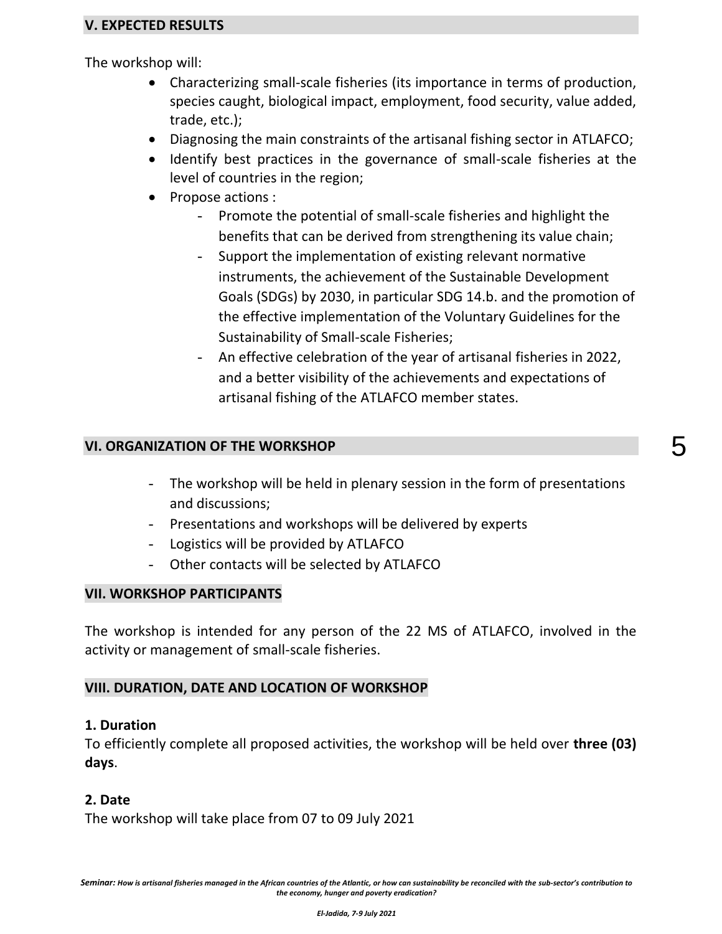### **V. EXPECTED RESULTS**

The workshop will:

- Characterizing small-scale fisheries (its importance in terms of production, species caught, biological impact, employment, food security, value added, trade, etc.);
- Diagnosing the main constraints of the artisanal fishing sector in ATLAFCO;
- Identify best practices in the governance of small-scale fisheries at the level of countries in the region;
- Propose actions :
	- Promote the potential of small-scale fisheries and highlight the benefits that can be derived from strengthening its value chain;
	- Support the implementation of existing relevant normative instruments, the achievement of the Sustainable Development Goals (SDGs) by 2030, in particular SDG 14.b. and the promotion of the effective implementation of the Voluntary Guidelines for the Sustainability of Small-scale Fisheries;
	- An effective celebration of the year of artisanal fisheries in 2022, and a better visibility of the achievements and expectations of artisanal fishing of the ATLAFCO member states.

#### **VI. ORGANIZATION OF THE WORKSHOP**

- The workshop will be held in plenary session in the form of presentations and discussions;
- Presentations and workshops will be delivered by experts
- Logistics will be provided by ATLAFCO
- Other contacts will be selected by ATLAFCO

#### **VII. WORKSHOP PARTICIPANTS**

The workshop is intended for any person of the 22 MS of ATLAFCO, involved in the activity or management of small-scale fisheries.

#### **VIII. DURATION, DATE AND LOCATION OF WORKSHOP**

#### **1. Duration**

To efficiently complete all proposed activities, the workshop will be held over **three (03) days**.

#### **2. Date**

The workshop will take place from 07 to 09 July 2021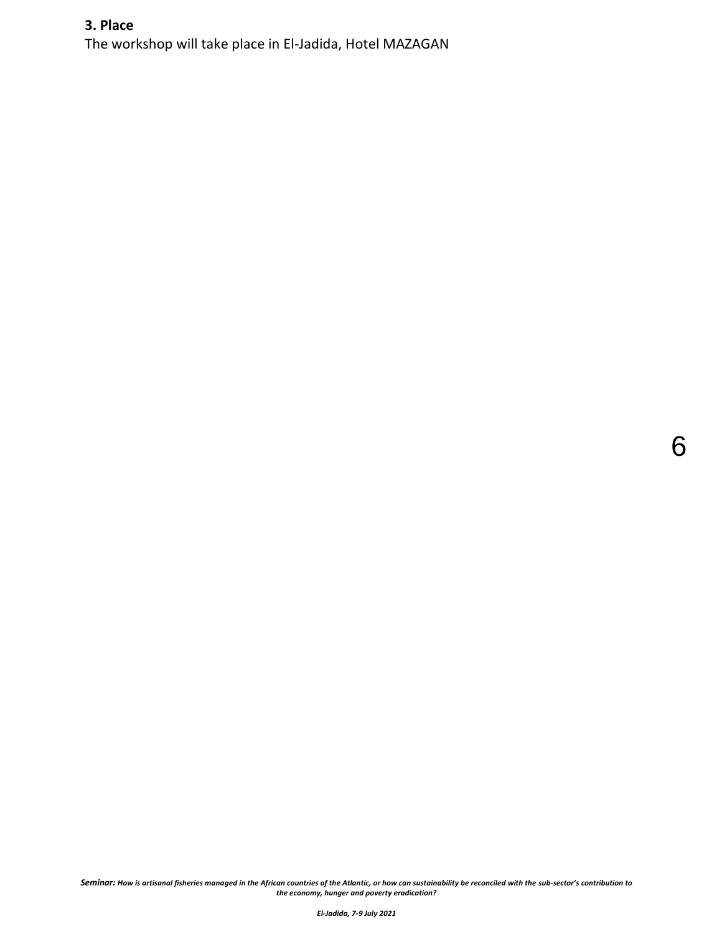# **3. Place**

The workshop will take place in El-Jadida, Hotel MAZAGAN

*Seminar: How is artisanal fisheries managed in the African countries of the Atlantic, or how can sustainability be reconciled with the sub-sector's contribution to the economy, hunger and poverty eradication?*

6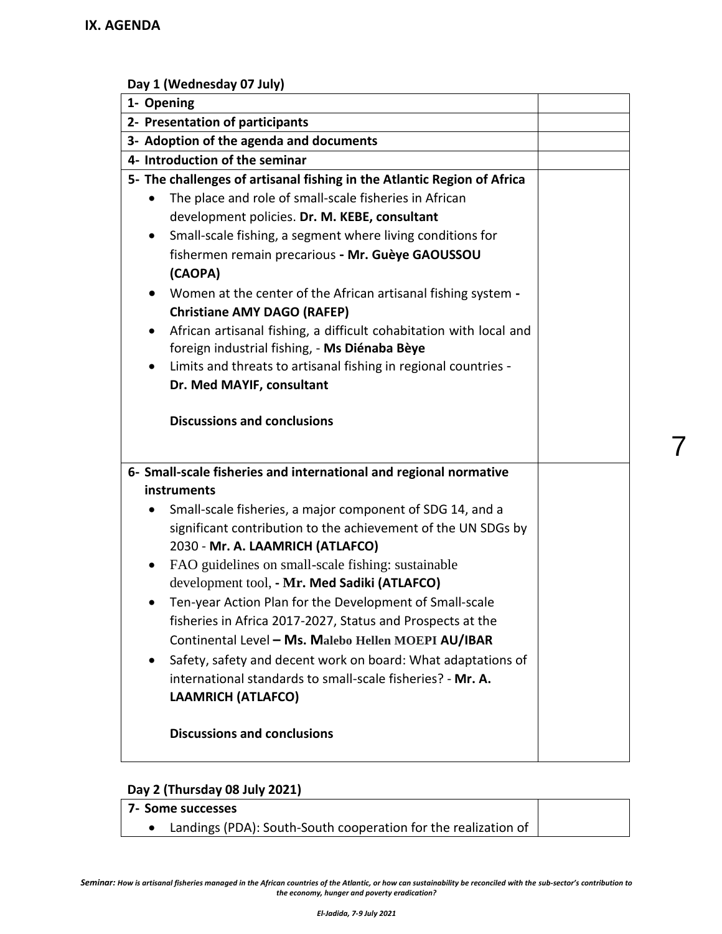# **Day 1 (Wednesday 07 July)**

| 1- Opening                                                                                                               |  |
|--------------------------------------------------------------------------------------------------------------------------|--|
| 2- Presentation of participants                                                                                          |  |
| 3- Adoption of the agenda and documents                                                                                  |  |
| 4- Introduction of the seminar                                                                                           |  |
| 5- The challenges of artisanal fishing in the Atlantic Region of Africa                                                  |  |
| The place and role of small-scale fisheries in African                                                                   |  |
| development policies. Dr. M. KEBE, consultant                                                                            |  |
| Small-scale fishing, a segment where living conditions for                                                               |  |
| fishermen remain precarious - Mr. Guèye GAOUSSOU                                                                         |  |
| (CAOPA)                                                                                                                  |  |
| Women at the center of the African artisanal fishing system -                                                            |  |
| <b>Christiane AMY DAGO (RAFEP)</b>                                                                                       |  |
| African artisanal fishing, a difficult cohabitation with local and<br>٠<br>foreign industrial fishing, - Ms Diénaba Bèye |  |
| Limits and threats to artisanal fishing in regional countries -                                                          |  |
| Dr. Med MAYIF, consultant                                                                                                |  |
|                                                                                                                          |  |
| <b>Discussions and conclusions</b>                                                                                       |  |
|                                                                                                                          |  |
|                                                                                                                          |  |
| 6- Small-scale fisheries and international and regional normative                                                        |  |
| instruments                                                                                                              |  |
| Small-scale fisheries, a major component of SDG 14, and a                                                                |  |
| significant contribution to the achievement of the UN SDGs by<br>2030 - Mr. A. LAAMRICH (ATLAFCO)                        |  |
| FAO guidelines on small-scale fishing: sustainable<br>$\bullet$                                                          |  |
| development tool, - Mr. Med Sadiki (ATLAFCO)                                                                             |  |
| Ten-year Action Plan for the Development of Small-scale                                                                  |  |
| fisheries in Africa 2017-2027, Status and Prospects at the                                                               |  |
| Continental Level - Ms. Malebo Hellen MOEPI AU/IBAR                                                                      |  |
| Safety, safety and decent work on board: What adaptations of                                                             |  |
| international standards to small-scale fisheries? - Mr. A.                                                               |  |
| <b>LAAMRICH (ATLAFCO)</b>                                                                                                |  |
|                                                                                                                          |  |
| <b>Discussions and conclusions</b>                                                                                       |  |
|                                                                                                                          |  |

7

## **Day 2 (Thursday 08 July 2021)**

| <b>1 7- Some successes</b>                                     |  |
|----------------------------------------------------------------|--|
| Landings (PDA): South-South cooperation for the realization of |  |

*Seminar: How is artisanal fisheries managed in the African countries of the Atlantic, or how can sustainability be reconciled with the sub-sector's contribution to the economy, hunger and poverty eradication?*